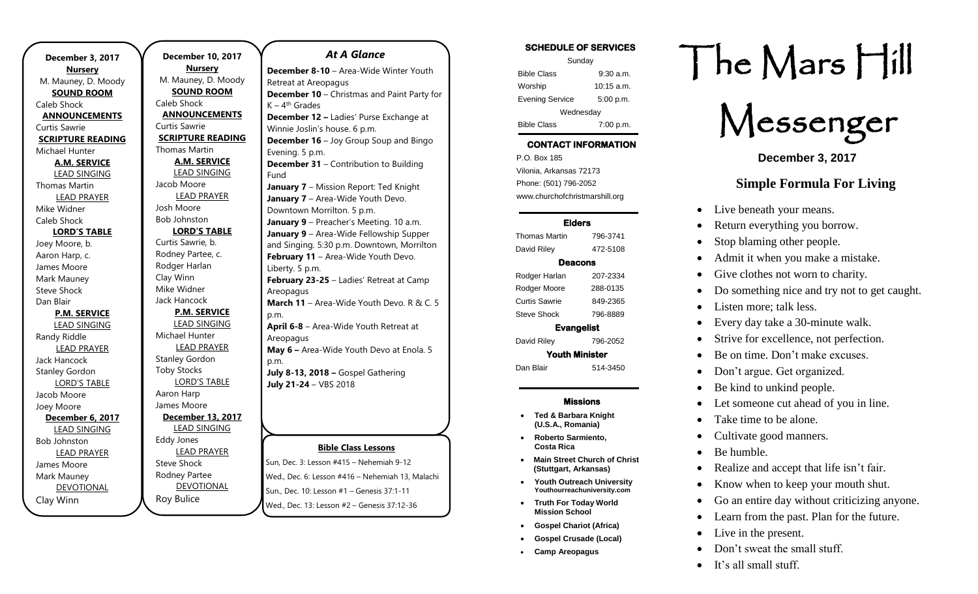. **December 3, 2017 Nursery** M. Mauney, D. Moody **SOUND ROOM** Caleb Shock **ANNOUNCEMENTS** Curtis Sawrie **SCRIPTURE READING** Michael Hunter **A.M. SERVICE** LEAD SINGING Thomas Martin LEAD PRAYER Mike Widner Caleb Shock **LORD'S TABLE** Joey Moore, b. Aaron Harp, c. James Moore Mark Mauney Steve Shock Dan Blair **P.M. SERVICE** LEAD SINGING Randy Riddle LEAD PRAYER Jack Hancock Stanley Gordon LORD'S TABLE Jacob Moore Joey Moore **December 6, 2017** LEAD SINGING Bob Johnston LEAD PRAYER James Moore Mark Mauney DEVOTIONAL Clay Winn

**December 10, 2017 Nursery** M. Mauney, D. Moody **SOUND ROOM** Caleb Shock **ANNOUNCEMENTS** Curtis Sawrie **SCRIPTURE READING** Thomas Martin **A.M. SERVICE** LEAD SINGING Jacob Moore LEAD PRAYER Josh Moore Bob Johnston **LORD'S TABLE** Curtis Sawrie, b. Rodney Partee, c. Rodger Harlan Clay Winn Mike Widner Jack Hancock **P.M. SERVICE** LEAD SINGING Michael Hunter LEAD PRAYER Stanley Gordon Toby Stocks LORD'S TABLE Aaron Harp James Moore **December 13, 2017** LEAD SINGING Eddy Jones LEAD PRAYER Steve Shock Rodney Partee

DEVOTIONAL

Roy Bulice

#### *At A Glance*

**Bible Class Lessons December 8-10** – Area-Wide Winter Youth Retreat at Areopagus **December 10** – Christmas and Paint Party for K – 4<sup>th</sup> Grades **December 12 –** Ladies' Purse Exchange at Winnie Joslin's house. 6 p.m. **December 16** – Joy Group Soup and Bingo Evening. 5 p.m. **December 31** – Contribution to Building Fund **January 7** – Mission Report: Ted Knight **January 7** – Area-Wide Youth Devo. Downtown Morrilton. 5 p.m. **January 9** – Preacher's Meeting. 10 a.m. **January 9** – Area-Wide Fellowship Supper and Singing. 5:30 p.m. Downtown, Morrilton **February 11 - Area-Wide Youth Devo.** Liberty. 5 p.m. **February 23-25** – Ladies' Retreat at Camp **Areopagus March 11** – Area-Wide Youth Devo. R & C. 5 p.m. **April 6-8** – Area-Wide Youth Retreat at Areopagus **May 6 –** Area-Wide Youth Devo at Enola. 5 p.m. **July 8-13, 2018 –** Gospel Gathering **July 21-24** – VBS 2018

Sun, Dec. 3: Lesson #415 – Nehemiah 9-12 Wed., Dec. 6: Lesson #416 – Nehemiah 13, Malachi Sun., Dec. 10: Lesson #1 – Genesis 37:1-11 Wed., Dec. 13: Lesson #2 – Genesis 37:12-36

#### SCHEDULE OF SERVICES

| Sunday                 |              |
|------------------------|--------------|
| <b>Bible Class</b>     | $9:30$ a.m.  |
| Worship                | $10:15$ a.m. |
| <b>Evening Service</b> | 5:00 p.m.    |
| Wednesday              |              |
| <b>Bible Class</b>     | 7:00 p.m.    |

# CONTACT INFORMATION

. .o. Box 166<br>Vilonia, Arkansas 72173 P.O. Box 185 Phone: (501) 796-2052 www.churchofchristmarshill.org

#### Elders

Thomas Martin 796-3741 David Riley 472-5108 Deacons Rodger Harlan 207-2334 Rodger Moore 288-0135 Curtis Sawrie 849-2365 Steve Shock 796-8889 Evangelist

David Riley 796-2052

Youth Minister

Dan Blair 514-3450

#### Missions

- **Ted & Barbara Knight (U.S.A., Romania)**
- **Roberto Sarmiento, Costa Rica**
- **Main Street Church of Christ (Stuttgart, Arkansas)**
- **Youth Outreach University Youthourreachuniversity.com**
- **Truth For Today World Mission School**
- **Gospel Chariot (Africa)**
- **Gospel Crusade (Local)**
- **Camp Areopagus**

# The Mars Hill



**December 3, 2017**

# **Simple Formula For Living**

- Live beneath your means.
- Return everything you borrow.
- Stop blaming other people.
- Admit it when you make a mistake.
- Give clothes not worn to charity.
- Do something nice and try not to get caught.
- Listen more; talk less.
- Every day take a 30-minute walk.
- Strive for excellence, not perfection.
- Be on time. Don't make excuses.
- Don't argue. Get organized.
- Be kind to unkind people.
- Let someone cut ahead of you in line.
- Take time to be alone.
- Cultivate good manners.
- Be humble.
- Realize and accept that life isn't fair.
- Know when to keep your mouth shut.
- Go an entire day without criticizing anyone.
- Learn from the past. Plan for the future.
- Live in the present.
- Don't sweat the small stuff.
- It's all small stuff.